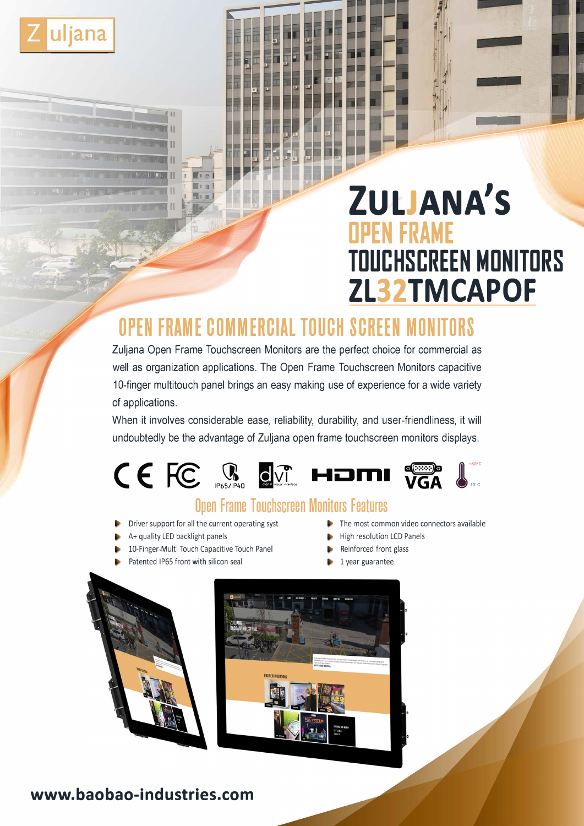

# **ZULJANA'S OPEN FRAME TOUCHSCREEN MONITORS ZL32TMCAPOF**

## **OPEN FRAME COMMERCIAL TOUCH SCREEN MONITORS**

Zuljana Open Frame Touchscreen Monitors are the perfect choice for commercial as well as organization applications. The Open Frame Touchscreen Monitors capacitive 10-finger multitouch panel brings an easy making use of experience for a wide variety of applications.

When it involves considerable ease, reliability, durability, and user-friendliness, it will undoubtedly be the advantage of Zuljana open frame touchscreen monitors displays.



## **Open Frame Touchscreen Monitors Features**

- Driver support for all the current operating syst
- A+ quality LED backlight panels
- 10-Finger-Multi Touch Capacitive Touch Panel
- Patented IP65 front with silicon seal
- The most common video connectors available
- High resolution LCD Panels
- Reinforced front glass
- 1 year guarantee



## **www.baobao-industries.com**